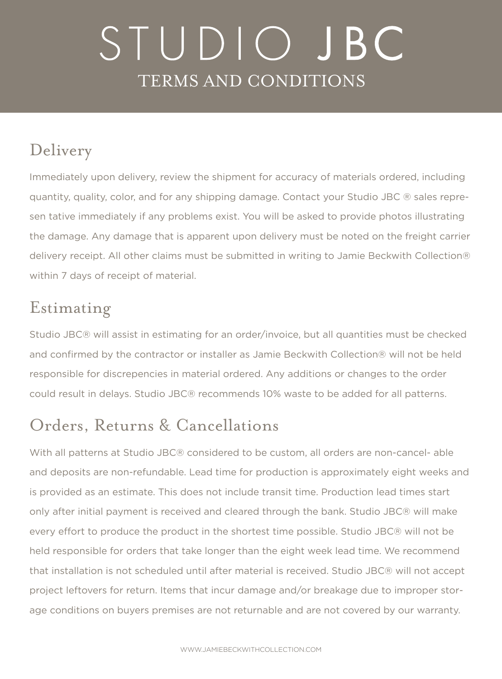# STUDIO JBC TERMS AND CONDITIONS

### Delivery

Immediately upon delivery, review the shipment for accuracy of materials ordered, including quantity, quality, color, and for any shipping damage. Contact your Studio JBC ® sales represen tative immediately if any problems exist. You will be asked to provide photos illustrating the damage. Any damage that is apparent upon delivery must be noted on the freight carrier delivery receipt. All other claims must be submitted in writing to Jamie Beckwith Collection® within 7 days of receipt of material.

#### Estimating

Studio JBC® will assist in estimating for an order/invoice, but all quantities must be checked and confirmed by the contractor or installer as Jamie Beckwith Collection® will not be held responsible for discrepencies in material ordered. Any additions or changes to the order could result in delays. Studio JBC® recommends 10% waste to be added for all patterns.

# Orders, Returns & Cancellations

With all patterns at Studio JBC® considered to be custom, all orders are non-cancel- able and deposits are non-refundable. Lead time for production is approximately eight weeks and is provided as an estimate. This does not include transit time. Production lead times start only after initial payment is received and cleared through the bank. Studio JBC® will make every effort to produce the product in the shortest time possible. Studio JBC® will not be held responsible for orders that take longer than the eight week lead time. We recommend that installation is not scheduled until after material is received. Studio JBC® will not accept project leftovers for return. Items that incur damage and/or breakage due to improper storage conditions on buyers premises are not returnable and are not covered by our warranty.